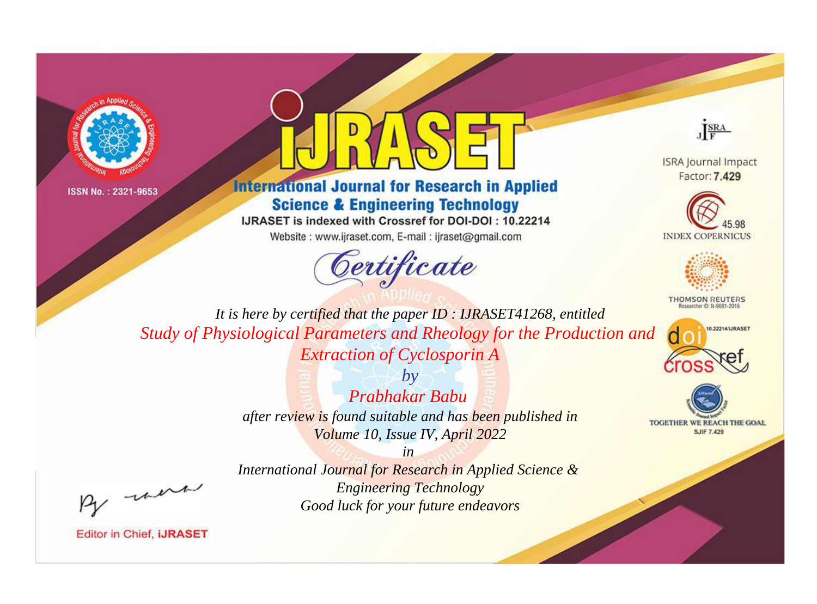



# **International Journal for Research in Applied Science & Engineering Technology**

IJRASET is indexed with Crossref for DOI-DOI: 10.22214

Website: www.ijraset.com, E-mail: ijraset@gmail.com



JERA

**ISRA Journal Impact** Factor: 7.429





**THOMSON REUTERS** 



TOGETHER WE REACH THE GOAL **SJIF 7.429** 

It is here by certified that the paper ID: IJRASET41268, entitled Study of Physiological Parameters and Rheology for the Production and **Extraction of Cyclosporin A** 

> $b\nu$ Prabhakar Babu after review is found suitable and has been published in Volume 10, Issue IV, April 2022

were

International Journal for Research in Applied Science & **Engineering Technology** Good luck for your future endeavors

 $in$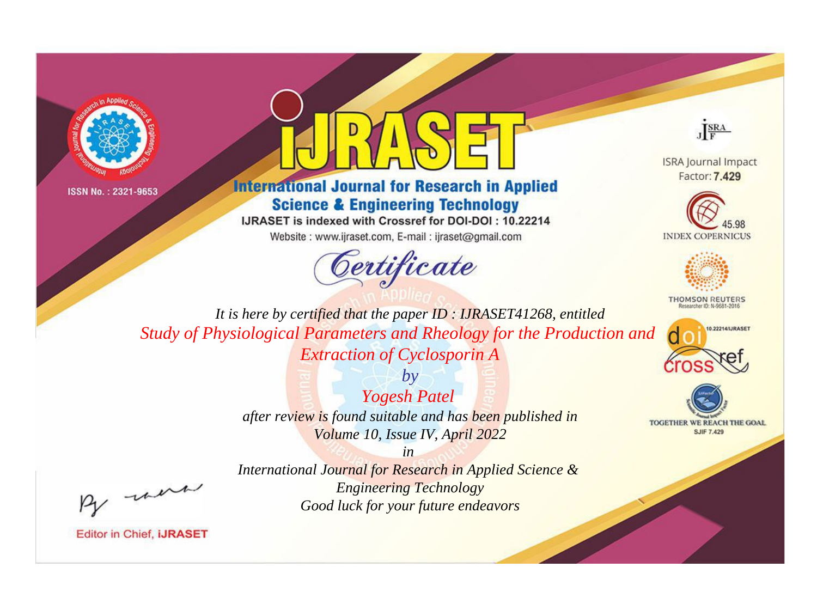



# **International Journal for Research in Applied Science & Engineering Technology**

IJRASET is indexed with Crossref for DOI-DOI: 10.22214

Website: www.ijraset.com, E-mail: ijraset@gmail.com





**ISRA Journal Impact** Factor: 7.429





**THOMSON REUTERS** 



TOGETHER WE REACH THE GOAL **SJIF 7.429** 

*It is here by certified that the paper ID : IJRASET41268, entitled Study of Physiological Parameters and Rheology for the Production and Extraction of Cyclosporin A*

> *by Yogesh Patel after review is found suitable and has been published in Volume 10, Issue IV, April 2022*

, un

*International Journal for Research in Applied Science & Engineering Technology Good luck for your future endeavors*

*in*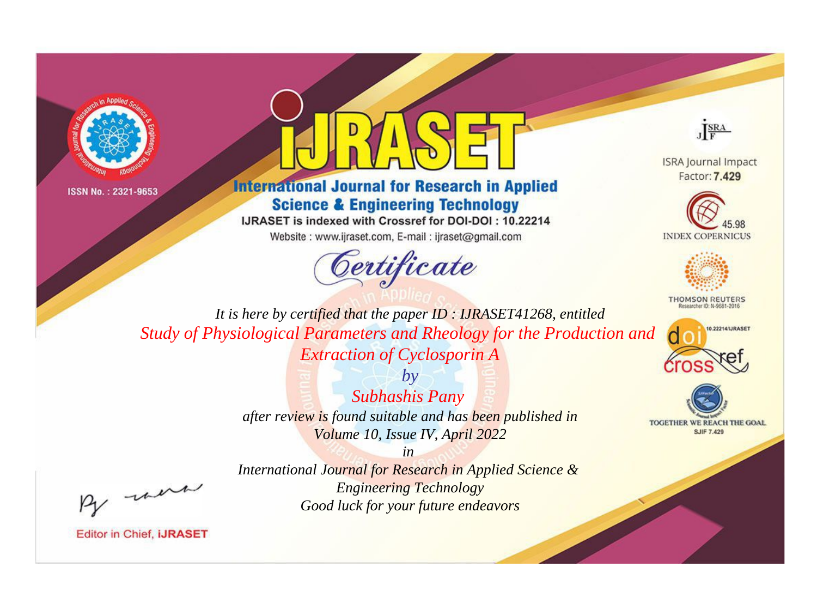



# **International Journal for Research in Applied Science & Engineering Technology**

IJRASET is indexed with Crossref for DOI-DOI: 10.22214

Website: www.ijraset.com, E-mail: ijraset@gmail.com



JERA

**ISRA Journal Impact** Factor: 7.429





**THOMSON REUTERS** 



TOGETHER WE REACH THE GOAL **SJIF 7.429** 

It is here by certified that the paper ID: IJRASET41268, entitled Study of Physiological Parameters and Rheology for the Production and **Extraction of Cyclosporin A** 

> $b\nu$ **Subhashis Pany** after review is found suitable and has been published in Volume 10, Issue IV, April 2022

were

International Journal for Research in Applied Science & **Engineering Technology** Good luck for your future endeavors

 $in$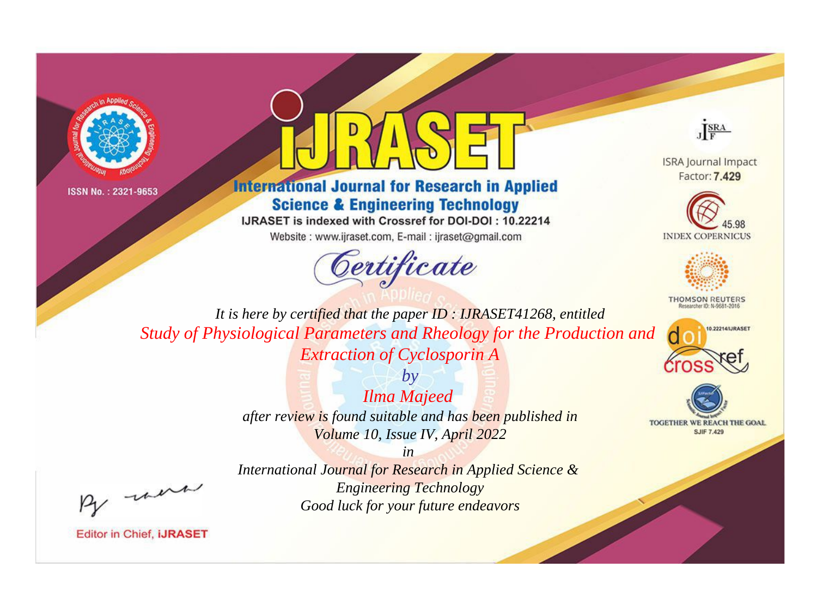



# **International Journal for Research in Applied Science & Engineering Technology**

IJRASET is indexed with Crossref for DOI-DOI: 10.22214

Website: www.ijraset.com, E-mail: ijraset@gmail.com





**ISRA Journal Impact** Factor: 7,429





**THOMSON REUTERS** 



TOGETHER WE REACH THE GOAL **SJIF 7.429** 

It is here by certified that the paper ID: IJRASET41268, entitled Study of Physiological Parameters and Rheology for the Production and **Extraction of Cyclosporin A** 

> $b\nu$ **Ilma Majeed** after review is found suitable and has been published in Volume 10, Issue IV, April 2022

> > $in$

were

International Journal for Research in Applied Science & **Engineering Technology** Good luck for your future endeavors